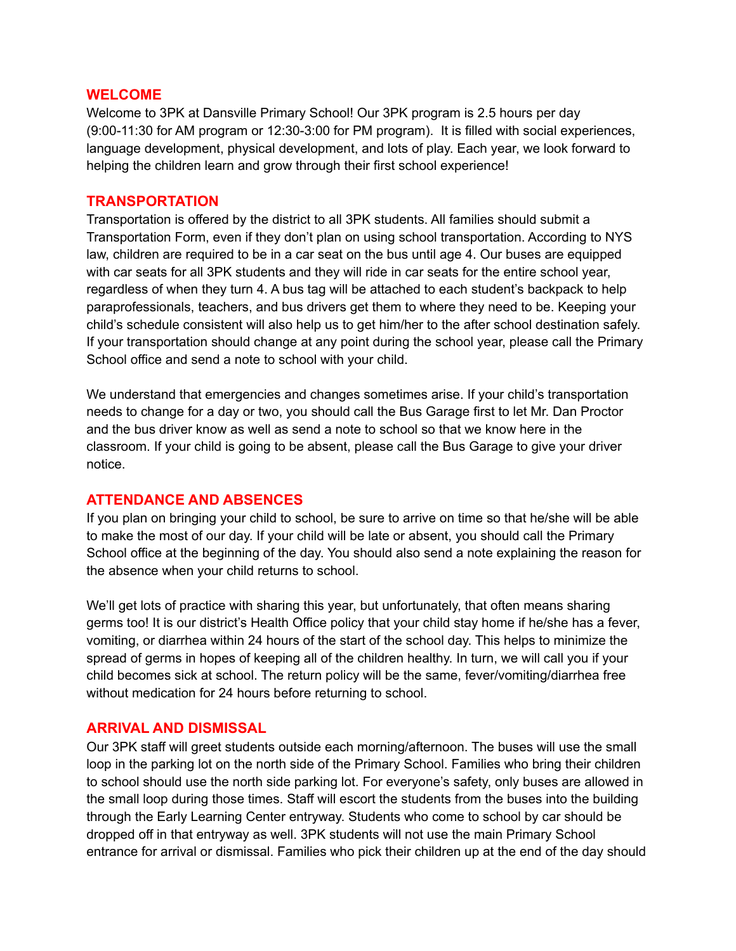#### **WELCOME**

Welcome to 3PK at Dansville Primary School! Our 3PK program is 2.5 hours per day (9:00-11:30 for AM program or 12:30-3:00 for PM program). It is filled with social experiences, language development, physical development, and lots of play. Each year, we look forward to helping the children learn and grow through their first school experience!

#### **TRANSPORTATION**

Transportation is offered by the district to all 3PK students. All families should submit a Transportation Form, even if they don't plan on using school transportation. According to NYS law, children are required to be in a car seat on the bus until age 4. Our buses are equipped with car seats for all 3PK students and they will ride in car seats for the entire school year, regardless of when they turn 4. A bus tag will be attached to each student's backpack to help paraprofessionals, teachers, and bus drivers get them to where they need to be. Keeping your child's schedule consistent will also help us to get him/her to the after school destination safely. If your transportation should change at any point during the school year, please call the Primary School office and send a note to school with your child.

We understand that emergencies and changes sometimes arise. If your child's transportation needs to change for a day or two, you should call the Bus Garage first to let Mr. Dan Proctor and the bus driver know as well as send a note to school so that we know here in the classroom. If your child is going to be absent, please call the Bus Garage to give your driver notice.

## **ATTENDANCE AND ABSENCES**

If you plan on bringing your child to school, be sure to arrive on time so that he/she will be able to make the most of our day. If your child will be late or absent, you should call the Primary School office at the beginning of the day. You should also send a note explaining the reason for the absence when your child returns to school.

We'll get lots of practice with sharing this year, but unfortunately, that often means sharing germs too! It is our district's Health Office policy that your child stay home if he/she has a fever, vomiting, or diarrhea within 24 hours of the start of the school day. This helps to minimize the spread of germs in hopes of keeping all of the children healthy. In turn, we will call you if your child becomes sick at school. The return policy will be the same, fever/vomiting/diarrhea free without medication for 24 hours before returning to school.

## **ARRIVAL AND DISMISSAL**

Our 3PK staff will greet students outside each morning/afternoon. The buses will use the small loop in the parking lot on the north side of the Primary School. Families who bring their children to school should use the north side parking lot. For everyone's safety, only buses are allowed in the small loop during those times. Staff will escort the students from the buses into the building through the Early Learning Center entryway. Students who come to school by car should be dropped off in that entryway as well. 3PK students will not use the main Primary School entrance for arrival or dismissal. Families who pick their children up at the end of the day should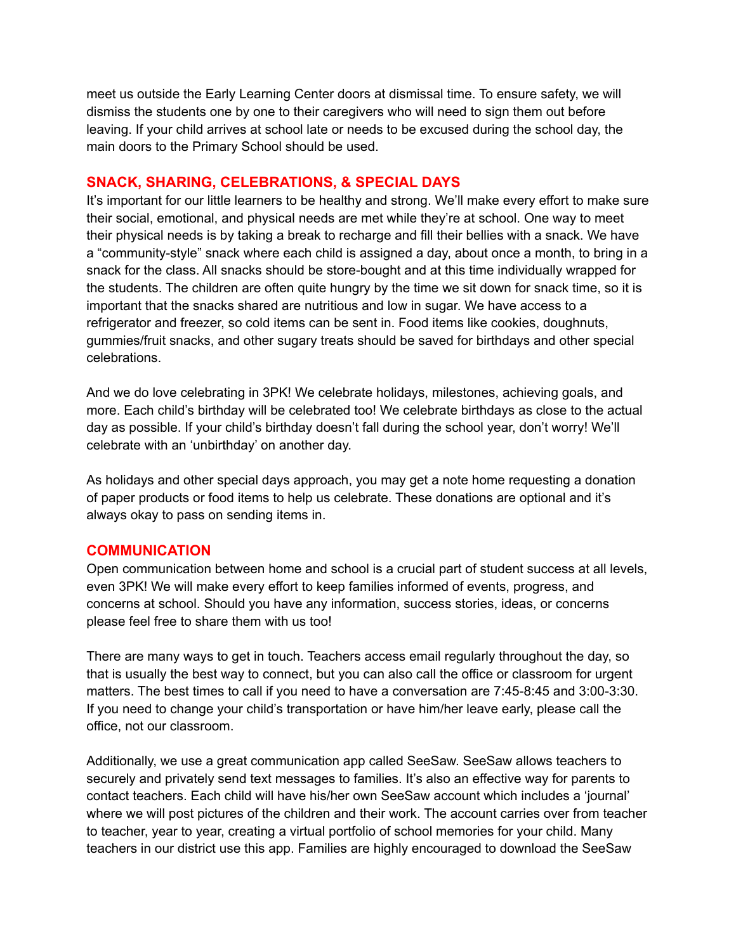meet us outside the Early Learning Center doors at dismissal time. To ensure safety, we will dismiss the students one by one to their caregivers who will need to sign them out before leaving. If your child arrives at school late or needs to be excused during the school day, the main doors to the Primary School should be used.

## **SNACK, SHARING, CELEBRATIONS, & SPECIAL DAYS**

It's important for our little learners to be healthy and strong. We'll make every effort to make sure their social, emotional, and physical needs are met while they're at school. One way to meet their physical needs is by taking a break to recharge and fill their bellies with a snack. We have a "community-style" snack where each child is assigned a day, about once a month, to bring in a snack for the class. All snacks should be store-bought and at this time individually wrapped for the students. The children are often quite hungry by the time we sit down for snack time, so it is important that the snacks shared are nutritious and low in sugar. We have access to a refrigerator and freezer, so cold items can be sent in. Food items like cookies, doughnuts, gummies/fruit snacks, and other sugary treats should be saved for birthdays and other special celebrations.

And we do love celebrating in 3PK! We celebrate holidays, milestones, achieving goals, and more. Each child's birthday will be celebrated too! We celebrate birthdays as close to the actual day as possible. If your child's birthday doesn't fall during the school year, don't worry! We'll celebrate with an 'unbirthday' on another day.

As holidays and other special days approach, you may get a note home requesting a donation of paper products or food items to help us celebrate. These donations are optional and it's always okay to pass on sending items in.

## **COMMUNICATION**

Open communication between home and school is a crucial part of student success at all levels, even 3PK! We will make every effort to keep families informed of events, progress, and concerns at school. Should you have any information, success stories, ideas, or concerns please feel free to share them with us too!

There are many ways to get in touch. Teachers access email regularly throughout the day, so that is usually the best way to connect, but you can also call the office or classroom for urgent matters. The best times to call if you need to have a conversation are 7:45-8:45 and 3:00-3:30. If you need to change your child's transportation or have him/her leave early, please call the office, not our classroom.

Additionally, we use a great communication app called SeeSaw. SeeSaw allows teachers to securely and privately send text messages to families. It's also an effective way for parents to contact teachers. Each child will have his/her own SeeSaw account which includes a 'journal' where we will post pictures of the children and their work. The account carries over from teacher to teacher, year to year, creating a virtual portfolio of school memories for your child. Many teachers in our district use this app. Families are highly encouraged to download the SeeSaw